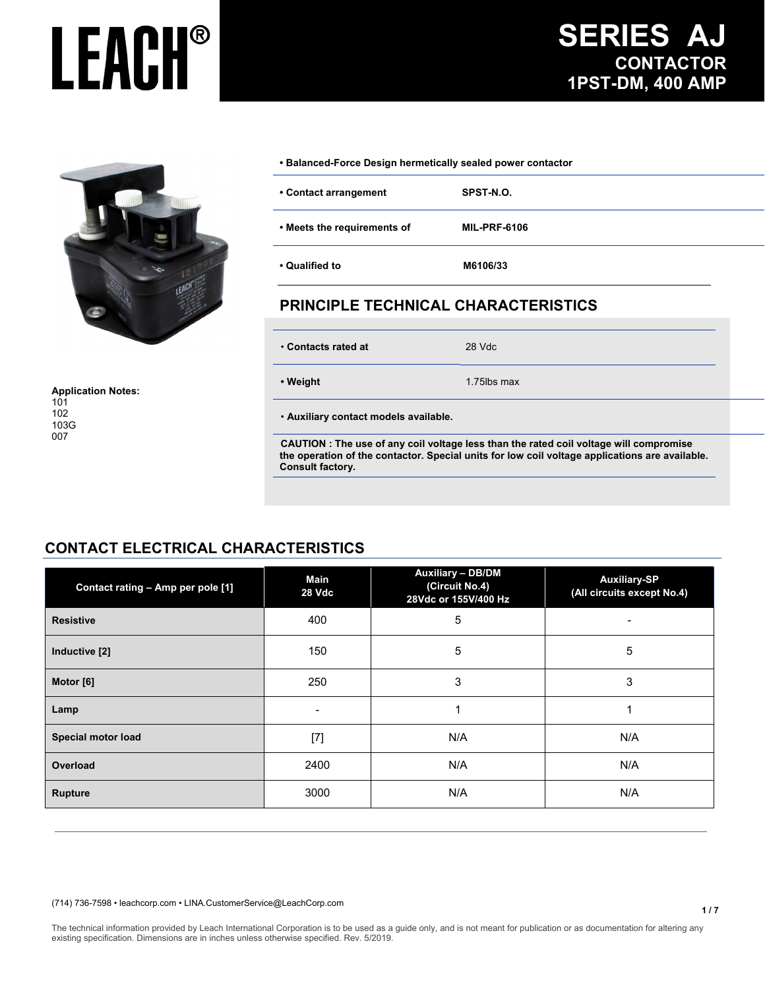**1 / 7**



**Application Notes:**  101 102 103G 007

#### **• Balanced-Force Design hermetically sealed power contactor**

| • Contact arrangement       | SPST-N.O.           |
|-----------------------------|---------------------|
| • Meets the requirements of | <b>MIL-PRF-6106</b> |
| • Qualified to              | M6106/33            |

### **PRINCIPLE TECHNICAL CHARACTERISTICS**

• **Contacts rated at**28 Vdc

**• Weight 1.75lbs max** 

• **Auxiliary contact models available.**

 **CAUTION : The use of any coil voltage less than the rated coil voltage will compromise the operation of the contactor. Special units for low coil voltage applications are available. Consult factory.** 

#### **CONTACT ELECTRICAL CHARACTERISTICS**

| Contact rating - Amp per pole [1] | Main<br>28 Vdc | <b>Auxiliary - DB/DM</b><br>(Circuit No.4)<br>28Vdc or 155V/400 Hz | <b>Auxiliary-SP</b><br>(All circuits except No.4) |
|-----------------------------------|----------------|--------------------------------------------------------------------|---------------------------------------------------|
| <b>Resistive</b>                  | 400            | 5                                                                  |                                                   |
| Inductive [2]                     | 150            | 5                                                                  | 5                                                 |
| Motor [6]                         | 250            | 3                                                                  | 3                                                 |
| Lamp                              | -              |                                                                    |                                                   |
| Special motor load                | $[7]$          | N/A                                                                | N/A                                               |
| Overload                          | 2400           | N/A                                                                | N/A                                               |
| <b>Rupture</b>                    | 3000           | N/A                                                                | N/A                                               |

(714) 736-7598 • leachcorp.com • LINA.CustomerService@LeachCorp.com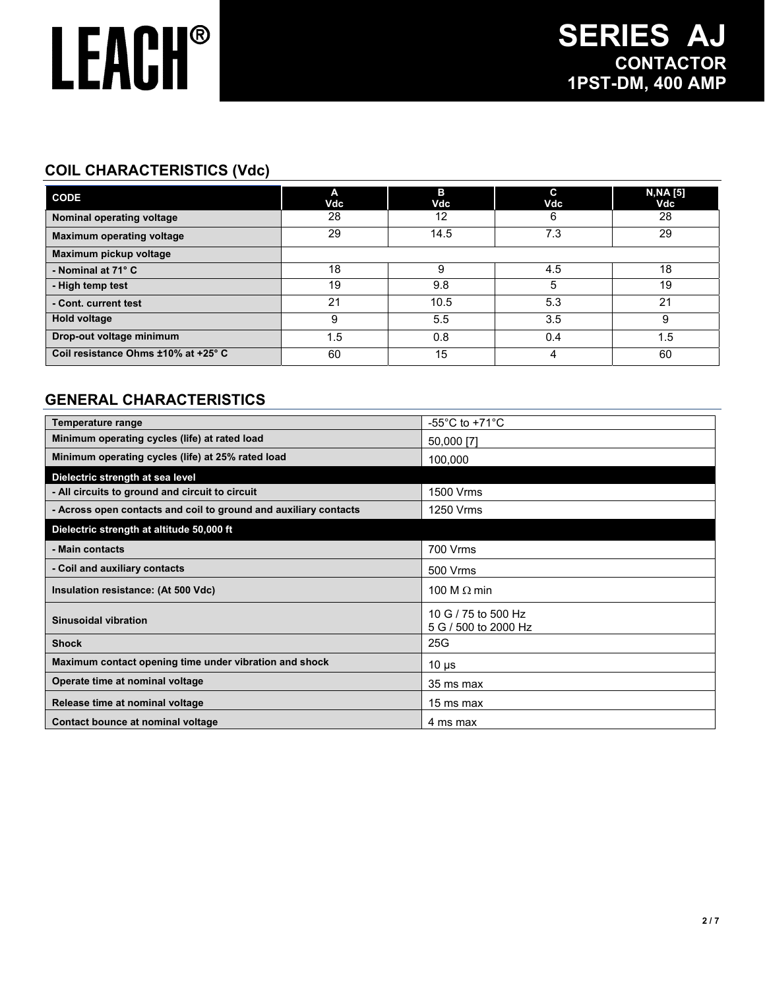### **COIL CHARACTERISTICS (Vdc)**

| <b>CODE</b>                         | A<br>Vdc | в<br>Vdc | C<br>Vdc | <b>N, NA [5]</b><br>Vdc |
|-------------------------------------|----------|----------|----------|-------------------------|
| Nominal operating voltage           | 28       | 12       | 6        | 28                      |
| <b>Maximum operating voltage</b>    | 29       | 14.5     | 7.3      | 29                      |
| Maximum pickup voltage              |          |          |          |                         |
| - Nominal at 71° C                  | 18       | 9        | 4.5      | 18                      |
| - High temp test                    | 19       | 9.8      | 5        | 19                      |
| - Cont. current test                | 21       | 10.5     | 5.3      | 21                      |
| <b>Hold voltage</b>                 | 9        | 5.5      | 3.5      | 9                       |
| Drop-out voltage minimum            | 1.5      | 0.8      | 0.4      | 1.5                     |
| Coil resistance Ohms ±10% at +25° C | 60       | 15       | 4        | 60                      |

### **GENERAL CHARACTERISTICS**

| Temperature range                                                | -55 $^{\circ}$ C to +71 $^{\circ}$ C        |
|------------------------------------------------------------------|---------------------------------------------|
| Minimum operating cycles (life) at rated load                    | 50,000 [7]                                  |
| Minimum operating cycles (life) at 25% rated load                | 100,000                                     |
| Dielectric strength at sea level                                 |                                             |
| - All circuits to ground and circuit to circuit                  | 1500 Vrms                                   |
| - Across open contacts and coil to ground and auxiliary contacts | 1250 Vrms                                   |
| Dielectric strength at altitude 50,000 ft                        |                                             |
| - Main contacts                                                  | 700 Vrms                                    |
| - Coil and auxiliary contacts                                    | 500 Vrms                                    |
| Insulation resistance: (At 500 Vdc)                              | 100 M $\Omega$ min                          |
| Sinusoidal vibration                                             | 10 G / 75 to 500 Hz<br>5 G / 500 to 2000 Hz |
| <b>Shock</b>                                                     | 25G                                         |
| Maximum contact opening time under vibration and shock           | 10 $\mu$ s                                  |
| Operate time at nominal voltage                                  | 35 ms max                                   |
| Release time at nominal voltage                                  | 15 ms max                                   |
| Contact bounce at nominal voltage                                | 4 ms max                                    |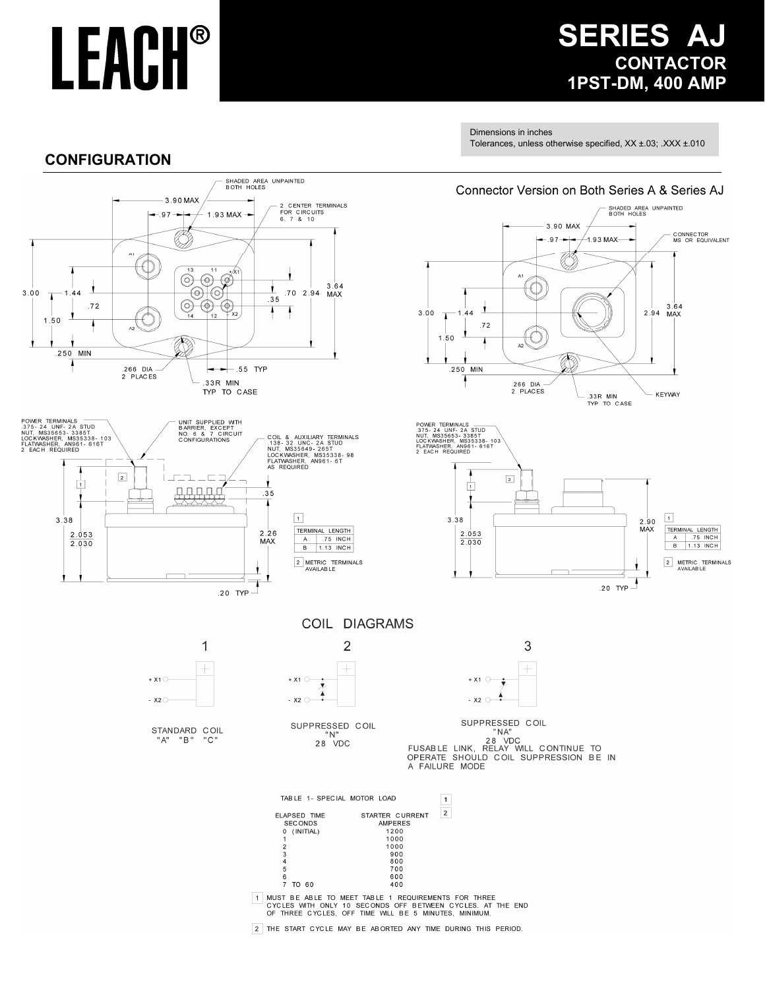## **SERIES AJ CONTACTOR 1PST-DM, 400 AMP**

Dimensions in inches

Tolerances, unless otherwise specified, XX ±.03; .XXX ±.010

### **CONFIGURATION**

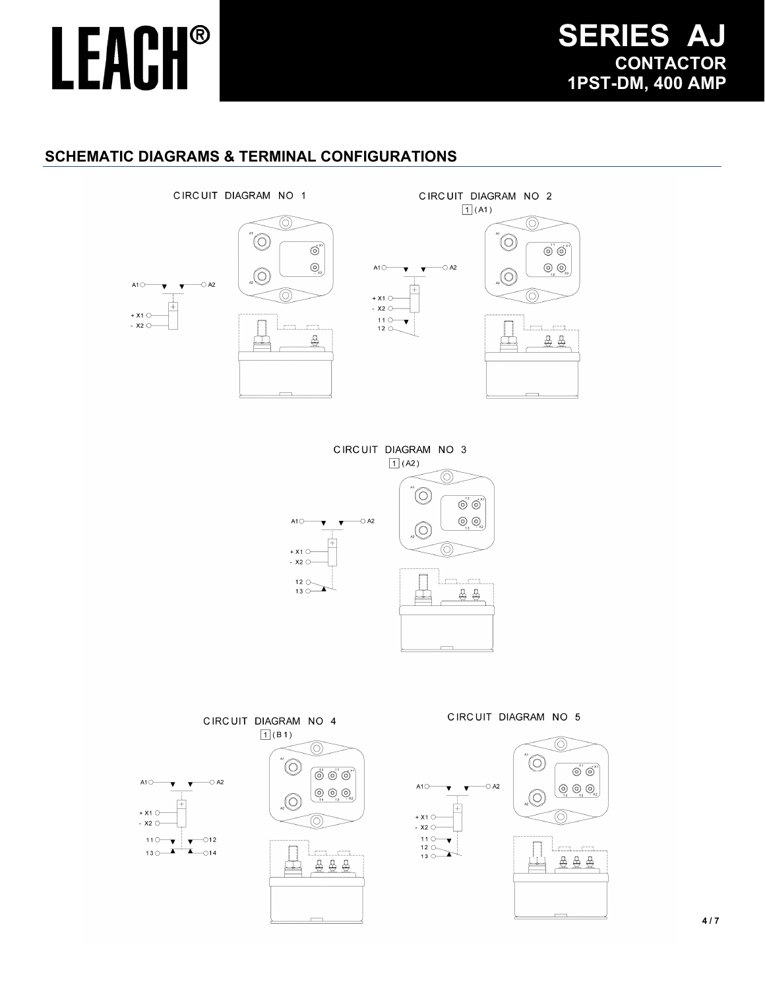## **SERIES A CONTACTOR 1PST-DM, 400 AMP**

## **LEACH®**

### **SCHEMATIC DIAGRAMS & TERMINAL CONFIGURATIONS**













m. in process

受受受



 $A1O$ 

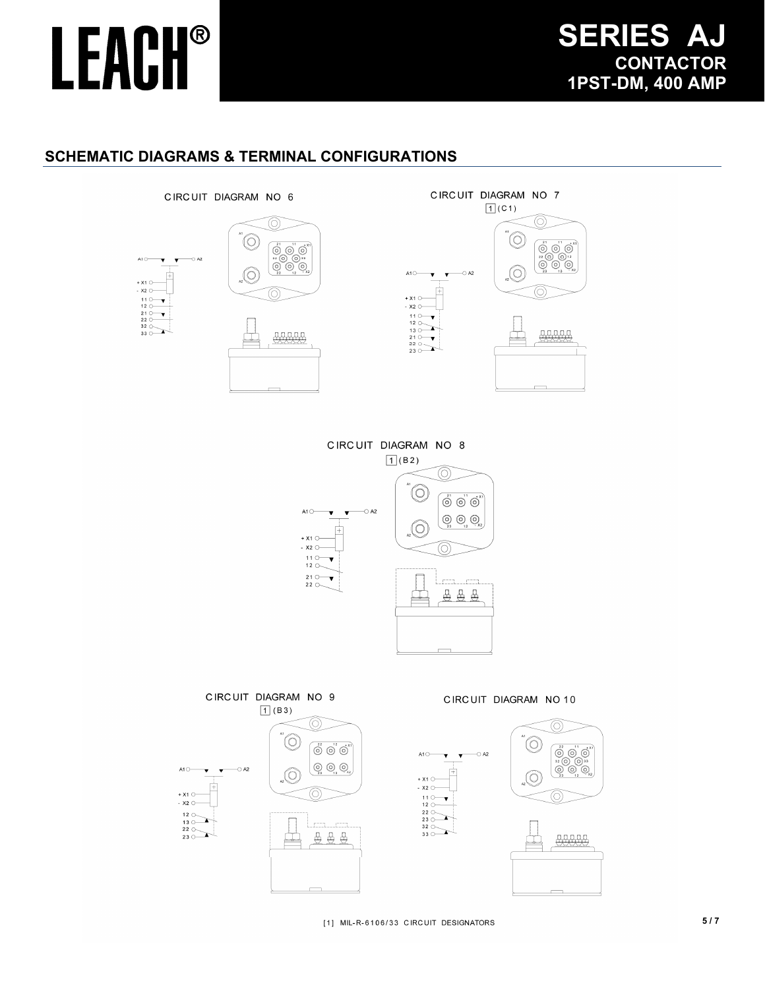$+ x 1$   $\cap$  $-$  x<sub>2</sub>  $\circ$ 

## **SERIES A CONTACTOR 1PST-DM, 400 AMP**

### **SCHEMATIC DIAGRAMS & TERMINAL CONFIGURATIONS**







[1] MIL-R-6106/33 CIRCUIT DESIGNATORS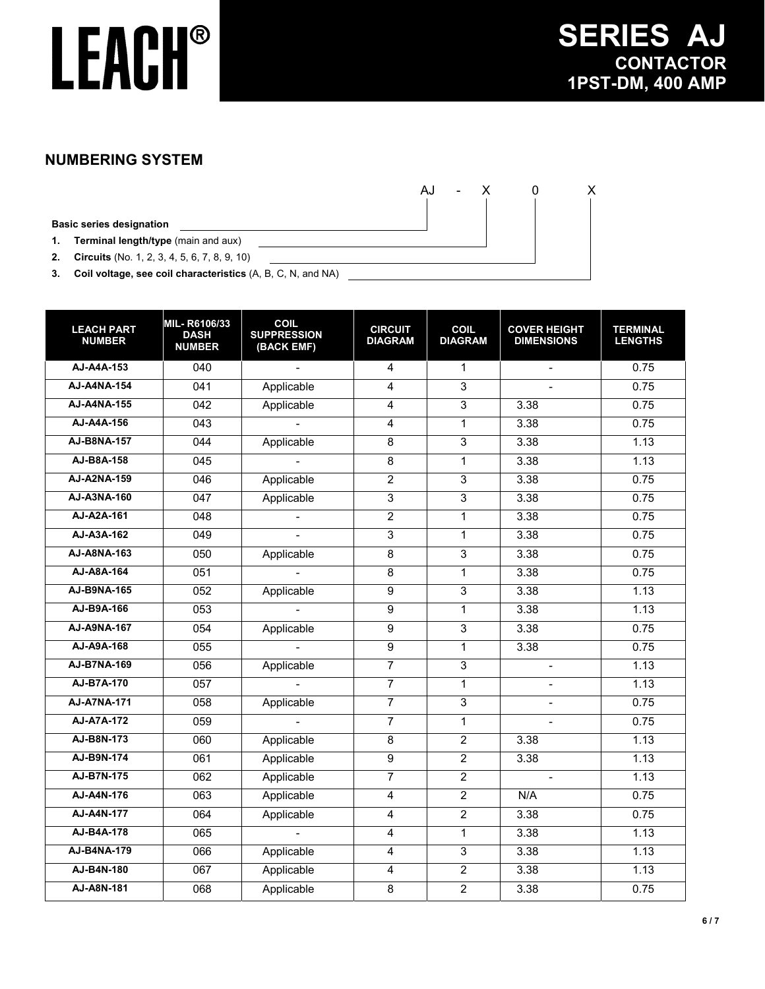AJ - X 0 X

### **NUMBERING SYSTEM**

**Basic series designation**

**1. Terminal length/type** (main and aux)

**2. Circuits** (No. 1, 2, 3, 4, 5, 6, 7, 8, 9, 10)

**3. Coil voltage, see coil characteristics** (A, B, C, N, and NA)

| <b>LEACH PART</b><br><b>NUMBER</b> | MIL-R6106/33<br><b>DASH</b><br><b>NUMBER</b> | <b>COIL</b><br><b>SUPPRESSION</b><br>(BACK EMF) | <b>CIRCUIT</b><br><b>DIAGRAM</b> | <b>COIL</b><br><b>DIAGRAM</b> | <b>COVER HEIGHT</b><br><b>DIMENSIONS</b> | <b>TERMINAL</b><br><b>LENGTHS</b> |
|------------------------------------|----------------------------------------------|-------------------------------------------------|----------------------------------|-------------------------------|------------------------------------------|-----------------------------------|
| AJ-A4A-153                         | 040                                          | L.                                              | $\overline{4}$                   | $\mathbf{1}$                  | $\overline{a}$                           | 0.75                              |
| AJ-A4NA-154                        | 041                                          | Applicable                                      | $\overline{4}$                   | 3                             | $\overline{a}$                           | 0.75                              |
| <b>AJ-A4NA-155</b>                 | $\overline{042}$                             | Applicable                                      | $\overline{4}$                   | 3                             | 3.38                                     | 0.75                              |
| AJ-A4A-156                         | 043                                          |                                                 | $\overline{4}$                   | $\mathbf{1}$                  | 3.38                                     | 0.75                              |
| AJ-B8NA-157                        | 044                                          | Applicable                                      | $\overline{8}$                   | $\overline{3}$                | 3.38                                     | 1.13                              |
| AJ-B8A-158                         | $\overline{045}$                             | $\overline{a}$                                  | $\overline{8}$                   | $\mathbf{1}$                  | 3.38                                     | 1.13                              |
| AJ-A2NA-159                        | 046                                          | Applicable                                      | $\overline{2}$                   | 3                             | 3.38                                     | 0.75                              |
| AJ-A3NA-160                        | $\overline{047}$                             | Applicable                                      | 3                                | $\overline{3}$                | 3.38                                     | 0.75                              |
| AJ-A2A-161                         | $\overline{048}$                             | $\overline{a}$                                  | $\overline{2}$                   | $\mathbf{1}$                  | 3.38                                     | 0.75                              |
| AJ-A3A-162                         | $\overline{049}$                             |                                                 | 3                                | 1                             | 3.38                                     | 0.75                              |
| AJ-A8NA-163                        | $\overline{050}$                             | Applicable                                      | $\overline{8}$                   | $\overline{3}$                | 3.38                                     | 0.75                              |
| AJ-A8A-164                         | 051                                          | $\mathbf{r}$                                    | $\overline{8}$                   | 1                             | 3.38                                     | 0.75                              |
| AJ-B9NA-165                        | 052                                          | Applicable                                      | $\overline{9}$                   | $\overline{3}$                | 3.38                                     | 1.13                              |
| AJ-B9A-166                         | 053                                          | $\overline{a}$                                  | $\overline{9}$                   | $\mathbf{1}$                  | 3.38                                     | 1.13                              |
| AJ-A9NA-167                        | 054                                          | Applicable                                      | $\overline{9}$                   | 3                             | 3.38                                     | 0.75                              |
| AJ-A9A-168                         | 055                                          | $\mathbf{r}$                                    | $\overline{9}$                   | $\mathbf{1}$                  | 3.38                                     | 0.75                              |
| AJ-B7NA-169                        | 056                                          | Applicable                                      | $\overline{7}$                   | 3                             | $\blacksquare$                           | 1.13                              |
| AJ-B7A-170                         | 057                                          |                                                 | $\overline{7}$                   | 1                             |                                          | 1.13                              |
| <b>AJ-A7NA-171</b>                 | $\overline{058}$                             | Applicable                                      | $\overline{7}$                   | $\overline{3}$                | $\blacksquare$                           | 0.75                              |
| AJ-A7A-172                         | $\overline{059}$                             |                                                 | $\overline{7}$                   | $\mathbf{1}$                  | $\overline{a}$                           | 0.75                              |
| AJ-B8N-173                         | 060                                          | Applicable                                      | $\overline{8}$                   | $\overline{2}$                | 3.38                                     | 1.13                              |
| AJ-B9N-174                         | 061                                          | Applicable                                      | $\overline{9}$                   | $\overline{2}$                | 3.38                                     | 1.13                              |
| AJ-B7N-175                         | 062                                          | Applicable                                      | $\overline{7}$                   | $\overline{2}$                | $\mathbf{r}$                             | 1.13                              |
| AJ-A4N-176                         | 063                                          | Applicable                                      | $\overline{4}$                   | $\overline{2}$                | N/A                                      | 0.75                              |
| AJ-A4N-177                         | 064                                          | Applicable                                      | $\overline{4}$                   | $\overline{2}$                | 3.38                                     | 0.75                              |
| AJ-B4A-178                         | 065                                          | $\overline{a}$                                  | 4                                | $\mathbf{1}$                  | 3.38                                     | 1.13                              |
| AJ-B4NA-179                        | 066                                          | Applicable                                      | $\overline{4}$                   | $\overline{3}$                | 3.38                                     | 1.13                              |
| AJ-B4N-180                         | $\overline{067}$                             | Applicable                                      | 4                                | $\overline{2}$                | 3.38                                     | 1.13                              |
| AJ-A8N-181                         | 068                                          | Applicable                                      | $\overline{8}$                   | $\overline{2}$                | 3.38                                     | 0.75                              |